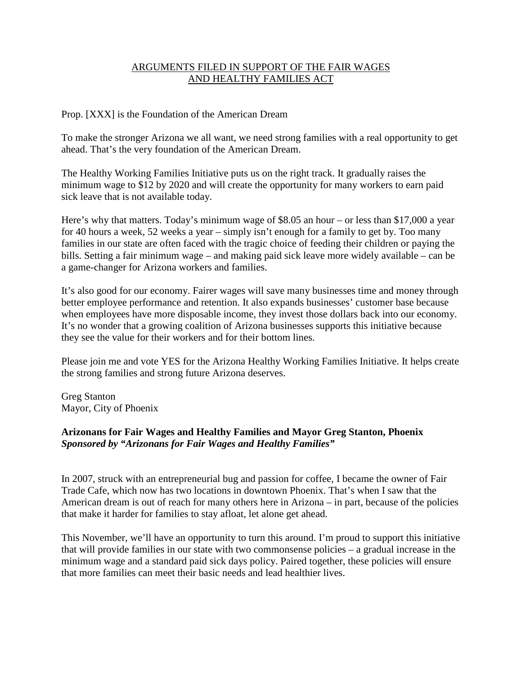# ARGUMENTS FILED IN SUPPORT OF THE FAIR WAGES AND HEALTHY FAMILIES ACT

Prop. [XXX] is the Foundation of the American Dream

To make the stronger Arizona we all want, we need strong families with a real opportunity to get ahead. That's the very foundation of the American Dream.

The Healthy Working Families Initiative puts us on the right track. It gradually raises the minimum wage to \$12 by 2020 and will create the opportunity for many workers to earn paid sick leave that is not available today.

Here's why that matters. Today's minimum wage of \$8.05 an hour – or less than \$17,000 a year for 40 hours a week, 52 weeks a year – simply isn't enough for a family to get by. Too many families in our state are often faced with the tragic choice of feeding their children or paying the bills. Setting a fair minimum wage – and making paid sick leave more widely available – can be a game-changer for Arizona workers and families.

It's also good for our economy. Fairer wages will save many businesses time and money through better employee performance and retention. It also expands businesses' customer base because when employees have more disposable income, they invest those dollars back into our economy. It's no wonder that a growing coalition of Arizona businesses supports this initiative because they see the value for their workers and for their bottom lines.

Please join me and vote YES for the Arizona Healthy Working Families Initiative. It helps create the strong families and strong future Arizona deserves.

Greg Stanton Mayor, City of Phoenix

# **Arizonans for Fair Wages and Healthy Families and Mayor Greg Stanton, Phoenix** *Sponsored by "Arizonans for Fair Wages and Healthy Families"*

In 2007, struck with an entrepreneurial bug and passion for coffee, I became the owner of Fair Trade Cafe, which now has two locations in downtown Phoenix. That's when I saw that the American dream is out of reach for many others here in Arizona – in part, because of the policies that make it harder for families to stay afloat, let alone get ahead.

This November, we'll have an opportunity to turn this around. I'm proud to support this initiative that will provide families in our state with two commonsense policies – a gradual increase in the minimum wage and a standard paid sick days policy. Paired together, these policies will ensure that more families can meet their basic needs and lead healthier lives.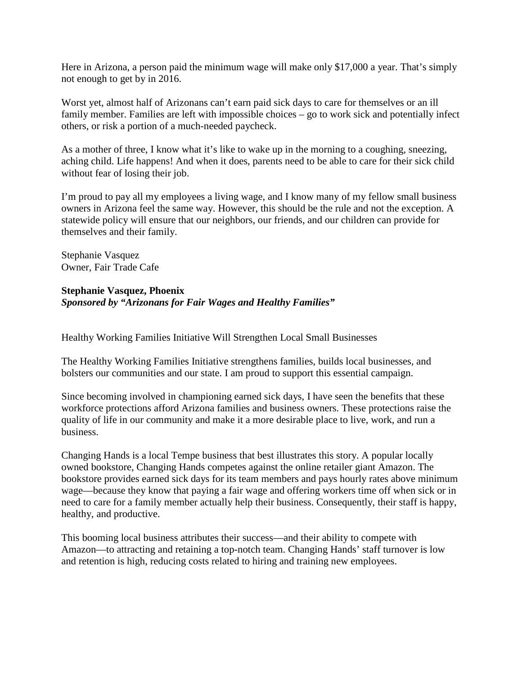Here in Arizona, a person paid the minimum wage will make only \$17,000 a year. That's simply not enough to get by in 2016.

Worst yet, almost half of Arizonans can't earn paid sick days to care for themselves or an ill family member. Families are left with impossible choices – go to work sick and potentially infect others, or risk a portion of a much-needed paycheck.

As a mother of three, I know what it's like to wake up in the morning to a coughing, sneezing, aching child. Life happens! And when it does, parents need to be able to care for their sick child without fear of losing their job.

I'm proud to pay all my employees a living wage, and I know many of my fellow small business owners in Arizona feel the same way. However, this should be the rule and not the exception. A statewide policy will ensure that our neighbors, our friends, and our children can provide for themselves and their family.

Stephanie Vasquez Owner, Fair Trade Cafe

### **Stephanie Vasquez, Phoenix**

# *Sponsored by "Arizonans for Fair Wages and Healthy Families"*

Healthy Working Families Initiative Will Strengthen Local Small Businesses

The Healthy Working Families Initiative strengthens families, builds local businesses, and bolsters our communities and our state. I am proud to support this essential campaign.

Since becoming involved in championing earned sick days, I have seen the benefits that these workforce protections afford Arizona families and business owners. These protections raise the quality of life in our community and make it a more desirable place to live, work, and run a business.

Changing Hands is a local Tempe business that best illustrates this story. A popular locally owned bookstore, Changing Hands competes against the online retailer giant Amazon. The bookstore provides earned sick days for its team members and pays hourly rates above minimum wage—because they know that paying a fair wage and offering workers time off when sick or in need to care for a family member actually help their business. Consequently, their staff is happy, healthy, and productive.

This booming local business attributes their success—and their ability to compete with Amazon—to attracting and retaining a top-notch team. Changing Hands' staff turnover is low and retention is high, reducing costs related to hiring and training new employees.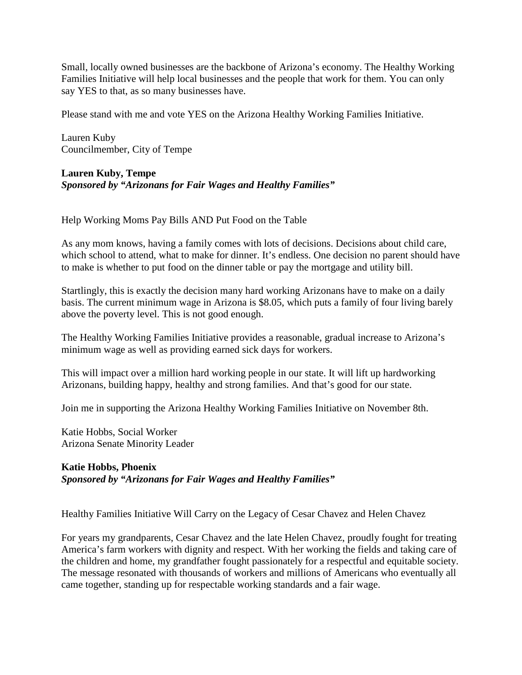Small, locally owned businesses are the backbone of Arizona's economy. The Healthy Working Families Initiative will help local businesses and the people that work for them. You can only say YES to that, as so many businesses have.

Please stand with me and vote YES on the Arizona Healthy Working Families Initiative.

Lauren Kuby Councilmember, City of Tempe

#### **Lauren Kuby, Tempe** *Sponsored by "Arizonans for Fair Wages and Healthy Families"*

Help Working Moms Pay Bills AND Put Food on the Table

As any mom knows, having a family comes with lots of decisions. Decisions about child care, which school to attend, what to make for dinner. It's endless. One decision no parent should have to make is whether to put food on the dinner table or pay the mortgage and utility bill.

Startlingly, this is exactly the decision many hard working Arizonans have to make on a daily basis. The current minimum wage in Arizona is \$8.05, which puts a family of four living barely above the poverty level. This is not good enough.

The Healthy Working Families Initiative provides a reasonable, gradual increase to Arizona's minimum wage as well as providing earned sick days for workers.

This will impact over a million hard working people in our state. It will lift up hardworking Arizonans, building happy, healthy and strong families. And that's good for our state.

Join me in supporting the Arizona Healthy Working Families Initiative on November 8th.

Katie Hobbs, Social Worker Arizona Senate Minority Leader

# **Katie Hobbs, Phoenix** *Sponsored by "Arizonans for Fair Wages and Healthy Families"*

Healthy Families Initiative Will Carry on the Legacy of Cesar Chavez and Helen Chavez

For years my grandparents, Cesar Chavez and the late Helen Chavez, proudly fought for treating America's farm workers with dignity and respect. With her working the fields and taking care of the children and home, my grandfather fought passionately for a respectful and equitable society. The message resonated with thousands of workers and millions of Americans who eventually all came together, standing up for respectable working standards and a fair wage.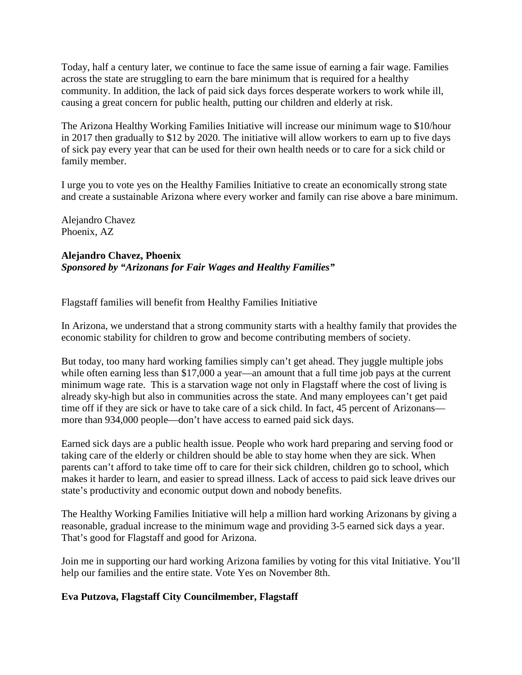Today, half a century later, we continue to face the same issue of earning a fair wage. Families across the state are struggling to earn the bare minimum that is required for a healthy community. In addition, the lack of paid sick days forces desperate workers to work while ill, causing a great concern for public health, putting our children and elderly at risk.

The Arizona Healthy Working Families Initiative will increase our minimum wage to \$10/hour in 2017 then gradually to \$12 by 2020. The initiative will allow workers to earn up to five days of sick pay every year that can be used for their own health needs or to care for a sick child or family member.

I urge you to vote yes on the Healthy Families Initiative to create an economically strong state and create a sustainable Arizona where every worker and family can rise above a bare minimum.

Alejandro Chavez Phoenix, AZ

# **Alejandro Chavez, Phoenix**

*Sponsored by "Arizonans for Fair Wages and Healthy Families"*

Flagstaff families will benefit from Healthy Families Initiative

In Arizona, we understand that a strong community starts with a healthy family that provides the economic stability for children to grow and become contributing members of society.

But today, too many hard working families simply can't get ahead. They juggle multiple jobs while often earning less than \$17,000 a year—an amount that a full time job pays at the current minimum wage rate. This is a starvation wage not only in Flagstaff where the cost of living is already sky-high but also in communities across the state. And many employees can't get paid time off if they are sick or have to take care of a sick child. In fact, 45 percent of Arizonans more than 934,000 people—don't have access to earned paid sick days.

Earned sick days are a public health issue. People who work hard preparing and serving food or taking care of the elderly or children should be able to stay home when they are sick. When parents can't afford to take time off to care for their sick children, children go to school, which makes it harder to learn, and easier to spread illness. Lack of access to paid sick leave drives our state's productivity and economic output down and nobody benefits.

The Healthy Working Families Initiative will help a million hard working Arizonans by giving a reasonable, gradual increase to the minimum wage and providing 3-5 earned sick days a year. That's good for Flagstaff and good for Arizona.

Join me in supporting our hard working Arizona families by voting for this vital Initiative. You'll help our families and the entire state. Vote Yes on November 8th.

# **Eva Putzova, Flagstaff City Councilmember, Flagstaff**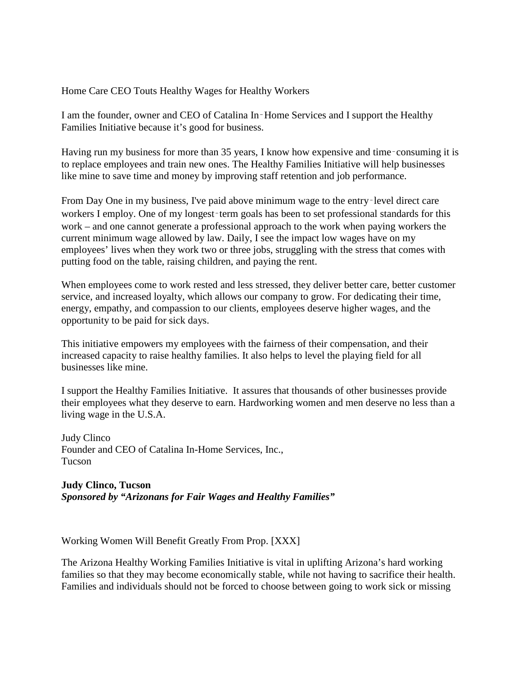### Home Care CEO Touts Healthy Wages for Healthy Workers

I am the founder, owner and CEO of Catalina In‑Home Services and I support the Healthy Families Initiative because it's good for business.

Having run my business for more than 35 years, I know how expensive and time–consuming it is to replace employees and train new ones. The Healthy Families Initiative will help businesses like mine to save time and money by improving staff retention and job performance.

From Day One in my business, I've paid above minimum wage to the entry-level direct care workers I employ. One of my longest-term goals has been to set professional standards for this work – and one cannot generate a professional approach to the work when paying workers the current minimum wage allowed by law. Daily, I see the impact low wages have on my employees' lives when they work two or three jobs, struggling with the stress that comes with putting food on the table, raising children, and paying the rent.

When employees come to work rested and less stressed, they deliver better care, better customer service, and increased loyalty, which allows our company to grow. For dedicating their time, energy, empathy, and compassion to our clients, employees deserve higher wages, and the opportunity to be paid for sick days.

This initiative empowers my employees with the fairness of their compensation, and their increased capacity to raise healthy families. It also helps to level the playing field for all businesses like mine.

I support the Healthy Families Initiative. It assures that thousands of other businesses provide their employees what they deserve to earn. Hardworking women and men deserve no less than a living wage in the U.S.A.

Judy Clinco Founder and CEO of Catalina In-Home Services, Inc., Tucson

**Judy Clinco, Tucson** *Sponsored by "Arizonans for Fair Wages and Healthy Families"*

Working Women Will Benefit Greatly From Prop. [XXX]

The Arizona Healthy Working Families Initiative is vital in uplifting Arizona's hard working families so that they may become economically stable, while not having to sacrifice their health. Families and individuals should not be forced to choose between going to work sick or missing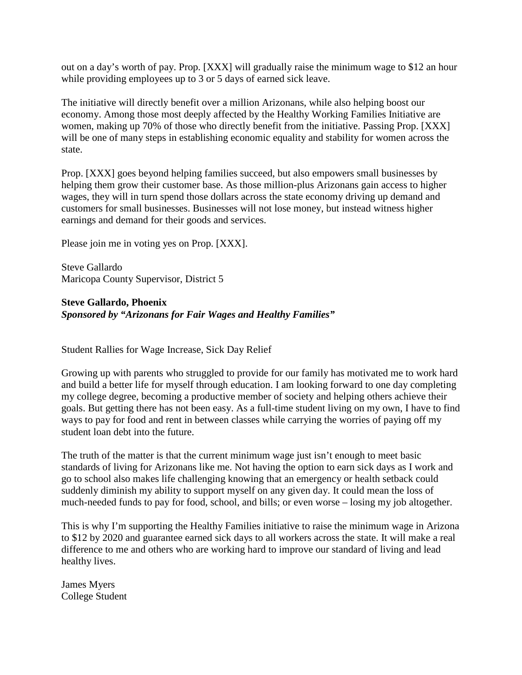out on a day's worth of pay. Prop. [XXX] will gradually raise the minimum wage to \$12 an hour while providing employees up to 3 or 5 days of earned sick leave.

The initiative will directly benefit over a million Arizonans, while also helping boost our economy. Among those most deeply affected by the Healthy Working Families Initiative are women, making up 70% of those who directly benefit from the initiative. Passing Prop. [XXX] will be one of many steps in establishing economic equality and stability for women across the state.

Prop. [XXX] goes beyond helping families succeed, but also empowers small businesses by helping them grow their customer base. As those million-plus Arizonans gain access to higher wages, they will in turn spend those dollars across the state economy driving up demand and customers for small businesses. Businesses will not lose money, but instead witness higher earnings and demand for their goods and services.

Please join me in voting yes on Prop. [XXX].

Steve Gallardo Maricopa County Supervisor, District 5

**Steve Gallardo, Phoenix** *Sponsored by "Arizonans for Fair Wages and Healthy Families"*

Student Rallies for Wage Increase, Sick Day Relief

Growing up with parents who struggled to provide for our family has motivated me to work hard and build a better life for myself through education. I am looking forward to one day completing my college degree, becoming a productive member of society and helping others achieve their goals. But getting there has not been easy. As a full-time student living on my own, I have to find ways to pay for food and rent in between classes while carrying the worries of paying off my student loan debt into the future.

The truth of the matter is that the current minimum wage just isn't enough to meet basic standards of living for Arizonans like me. Not having the option to earn sick days as I work and go to school also makes life challenging knowing that an emergency or health setback could suddenly diminish my ability to support myself on any given day. It could mean the loss of much-needed funds to pay for food, school, and bills; or even worse – losing my job altogether.

This is why I'm supporting the Healthy Families initiative to raise the minimum wage in Arizona to \$12 by 2020 and guarantee earned sick days to all workers across the state. It will make a real difference to me and others who are working hard to improve our standard of living and lead healthy lives.

James Myers College Student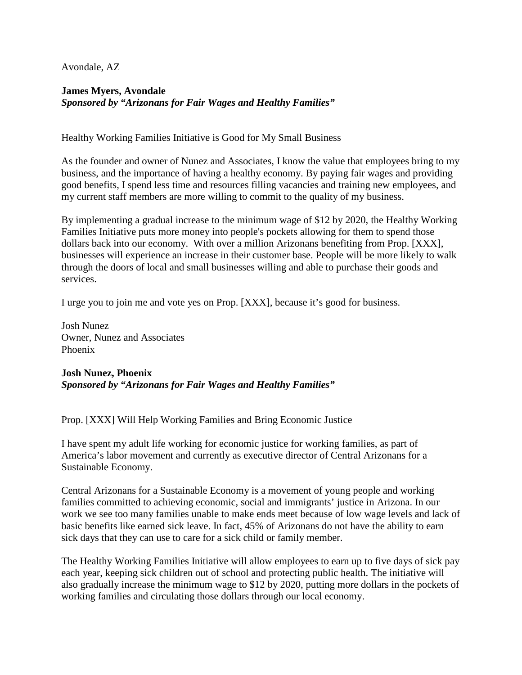Avondale, AZ

# **James Myers, Avondale** *Sponsored by "Arizonans for Fair Wages and Healthy Families"*

Healthy Working Families Initiative is Good for My Small Business

As the founder and owner of Nunez and Associates, I know the value that employees bring to my business, and the importance of having a healthy economy. By paying fair wages and providing good benefits, I spend less time and resources filling vacancies and training new employees, and my current staff members are more willing to commit to the quality of my business.

By implementing a gradual increase to the minimum wage of \$12 by 2020, the Healthy Working Families Initiative puts more money into people's pockets allowing for them to spend those dollars back into our economy. With over a million Arizonans benefiting from Prop. [XXX], businesses will experience an increase in their customer base. People will be more likely to walk through the doors of local and small businesses willing and able to purchase their goods and services.

I urge you to join me and vote yes on Prop. [XXX], because it's good for business.

Josh Nunez Owner, Nunez and Associates Phoenix

**Josh Nunez, Phoenix** *Sponsored by "Arizonans for Fair Wages and Healthy Families"*

Prop. [XXX] Will Help Working Families and Bring Economic Justice

I have spent my adult life working for economic justice for working families, as part of America's labor movement and currently as executive director of Central Arizonans for a Sustainable Economy.

Central Arizonans for a Sustainable Economy is a movement of young people and working families committed to achieving economic, social and immigrants' justice in Arizona. In our work we see too many families unable to make ends meet because of low wage levels and lack of basic benefits like earned sick leave. In fact, 45% of Arizonans do not have the ability to earn sick days that they can use to care for a sick child or family member.

The Healthy Working Families Initiative will allow employees to earn up to five days of sick pay each year, keeping sick children out of school and protecting public health. The initiative will also gradually increase the minimum wage to \$12 by 2020, putting more dollars in the pockets of working families and circulating those dollars through our local economy.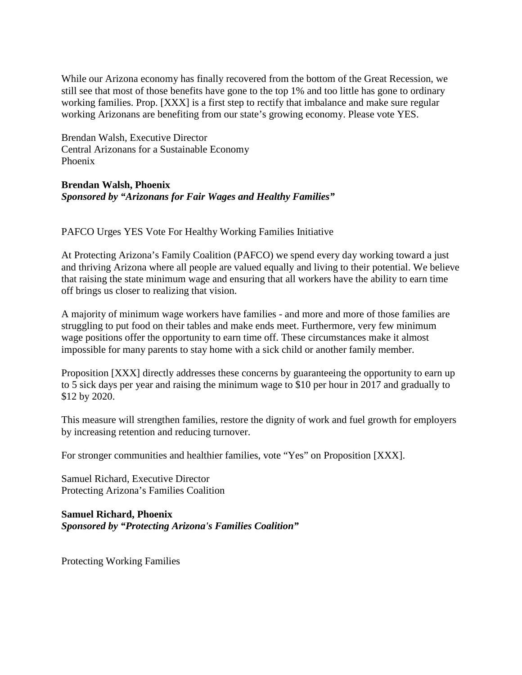While our Arizona economy has finally recovered from the bottom of the Great Recession, we still see that most of those benefits have gone to the top 1% and too little has gone to ordinary working families. Prop. [XXX] is a first step to rectify that imbalance and make sure regular working Arizonans are benefiting from our state's growing economy. Please vote YES.

Brendan Walsh, Executive Director Central Arizonans for a Sustainable Economy Phoenix

#### **Brendan Walsh, Phoenix** *Sponsored by "Arizonans for Fair Wages and Healthy Families"*

PAFCO Urges YES Vote For Healthy Working Families Initiative

At Protecting Arizona's Family Coalition (PAFCO) we spend every day working toward a just and thriving Arizona where all people are valued equally and living to their potential. We believe that raising the state minimum wage and ensuring that all workers have the ability to earn time off brings us closer to realizing that vision.

A majority of minimum wage workers have families - and more and more of those families are struggling to put food on their tables and make ends meet. Furthermore, very few minimum wage positions offer the opportunity to earn time off. These circumstances make it almost impossible for many parents to stay home with a sick child or another family member.

Proposition [XXX] directly addresses these concerns by guaranteeing the opportunity to earn up to 5 sick days per year and raising the minimum wage to \$10 per hour in 2017 and gradually to \$12 by 2020.

This measure will strengthen families, restore the dignity of work and fuel growth for employers by increasing retention and reducing turnover.

For stronger communities and healthier families, vote "Yes" on Proposition [XXX].

Samuel Richard, Executive Director Protecting Arizona's Families Coalition

**Samuel Richard, Phoenix** *Sponsored by "Protecting Arizona's Families Coalition"*

Protecting Working Families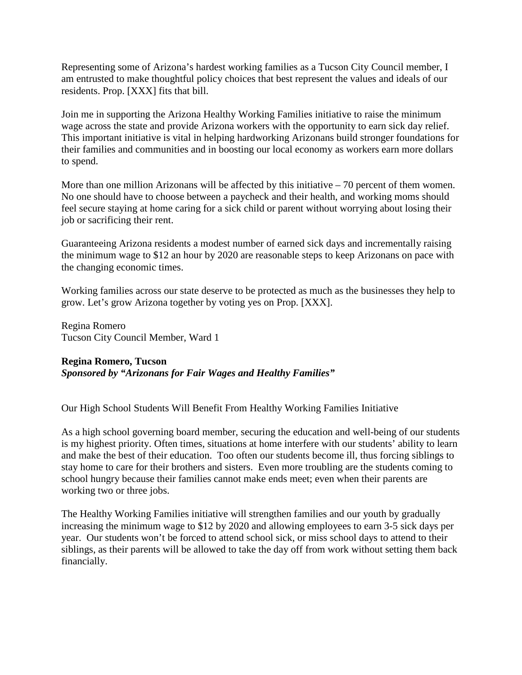Representing some of Arizona's hardest working families as a Tucson City Council member, I am entrusted to make thoughtful policy choices that best represent the values and ideals of our residents. Prop. [XXX] fits that bill.

Join me in supporting the Arizona Healthy Working Families initiative to raise the minimum wage across the state and provide Arizona workers with the opportunity to earn sick day relief. This important initiative is vital in helping hardworking Arizonans build stronger foundations for their families and communities and in boosting our local economy as workers earn more dollars to spend.

More than one million Arizonans will be affected by this initiative  $-70$  percent of them women. No one should have to choose between a paycheck and their health, and working moms should feel secure staying at home caring for a sick child or parent without worrying about losing their job or sacrificing their rent.

Guaranteeing Arizona residents a modest number of earned sick days and incrementally raising the minimum wage to \$12 an hour by 2020 are reasonable steps to keep Arizonans on pace with the changing economic times.

Working families across our state deserve to be protected as much as the businesses they help to grow. Let's grow Arizona together by voting yes on Prop. [XXX].

Regina Romero Tucson City Council Member, Ward 1

#### **Regina Romero, Tucson**

*Sponsored by "Arizonans for Fair Wages and Healthy Families"*

Our High School Students Will Benefit From Healthy Working Families Initiative

As a high school governing board member, securing the education and well-being of our students is my highest priority. Often times, situations at home interfere with our students' ability to learn and make the best of their education. Too often our students become ill, thus forcing siblings to stay home to care for their brothers and sisters. Even more troubling are the students coming to school hungry because their families cannot make ends meet; even when their parents are working two or three jobs.

The Healthy Working Families initiative will strengthen families and our youth by gradually increasing the minimum wage to \$12 by 2020 and allowing employees to earn 3-5 sick days per year. Our students won't be forced to attend school sick, or miss school days to attend to their siblings, as their parents will be allowed to take the day off from work without setting them back financially.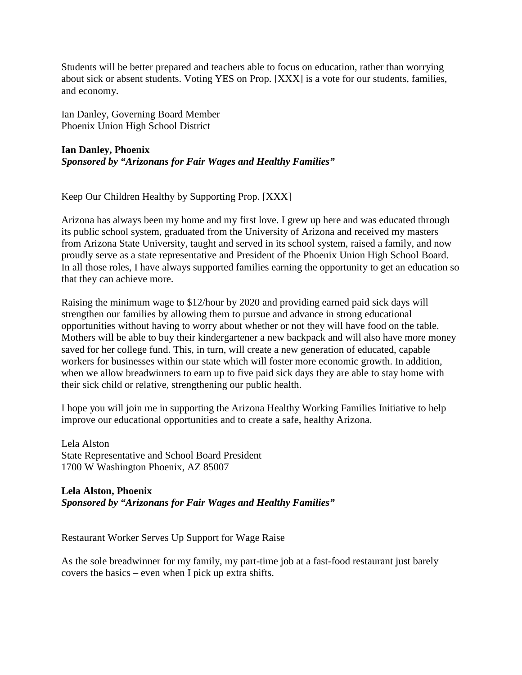Students will be better prepared and teachers able to focus on education, rather than worrying about sick or absent students. Voting YES on Prop. [XXX] is a vote for our students, families, and economy.

Ian Danley, Governing Board Member Phoenix Union High School District

# **Ian Danley, Phoenix** *Sponsored by "Arizonans for Fair Wages and Healthy Families"*

Keep Our Children Healthy by Supporting Prop. [XXX]

Arizona has always been my home and my first love. I grew up here and was educated through its public school system, graduated from the University of Arizona and received my masters from Arizona State University, taught and served in its school system, raised a family, and now proudly serve as a state representative and President of the Phoenix Union High School Board. In all those roles, I have always supported families earning the opportunity to get an education so that they can achieve more.

Raising the minimum wage to \$12/hour by 2020 and providing earned paid sick days will strengthen our families by allowing them to pursue and advance in strong educational opportunities without having to worry about whether or not they will have food on the table. Mothers will be able to buy their kindergartener a new backpack and will also have more money saved for her college fund. This, in turn, will create a new generation of educated, capable workers for businesses within our state which will foster more economic growth. In addition, when we allow breadwinners to earn up to five paid sick days they are able to stay home with their sick child or relative, strengthening our public health.

I hope you will join me in supporting the Arizona Healthy Working Families Initiative to help improve our educational opportunities and to create a safe, healthy Arizona.

Lela Alston State Representative and School Board President 1700 W Washington Phoenix, AZ 85007

**Lela Alston, Phoenix** *Sponsored by "Arizonans for Fair Wages and Healthy Families"*

Restaurant Worker Serves Up Support for Wage Raise

As the sole breadwinner for my family, my part-time job at a fast-food restaurant just barely covers the basics – even when I pick up extra shifts.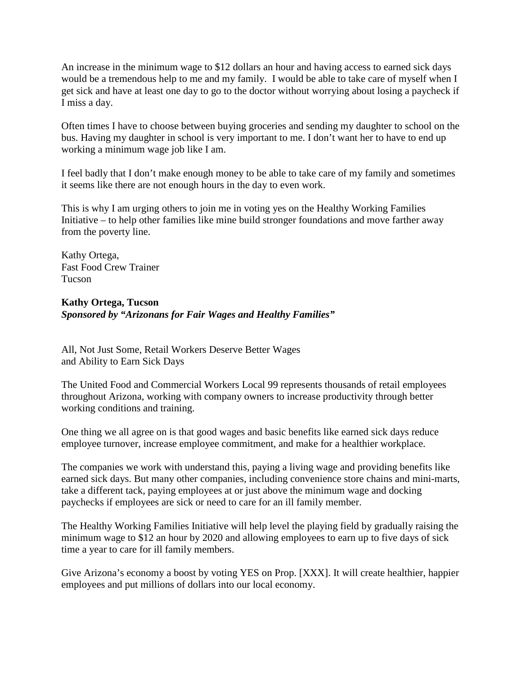An increase in the minimum wage to \$12 dollars an hour and having access to earned sick days would be a tremendous help to me and my family. I would be able to take care of myself when I get sick and have at least one day to go to the doctor without worrying about losing a paycheck if I miss a day.

Often times I have to choose between buying groceries and sending my daughter to school on the bus. Having my daughter in school is very important to me. I don't want her to have to end up working a minimum wage job like I am.

I feel badly that I don't make enough money to be able to take care of my family and sometimes it seems like there are not enough hours in the day to even work.

This is why I am urging others to join me in voting yes on the Healthy Working Families Initiative – to help other families like mine build stronger foundations and move farther away from the poverty line.

Kathy Ortega, Fast Food Crew Trainer Tucson

# **Kathy Ortega, Tucson** *Sponsored by "Arizonans for Fair Wages and Healthy Families"*

All, Not Just Some, Retail Workers Deserve Better Wages and Ability to Earn Sick Days

The United Food and Commercial Workers Local 99 represents thousands of retail employees throughout Arizona, working with company owners to increase productivity through better working conditions and training.

One thing we all agree on is that good wages and basic benefits like earned sick days reduce employee turnover, increase employee commitment, and make for a healthier workplace.

The companies we work with understand this, paying a living wage and providing benefits like earned sick days. But many other companies, including convenience store chains and mini-marts, take a different tack, paying employees at or just above the minimum wage and docking paychecks if employees are sick or need to care for an ill family member.

The Healthy Working Families Initiative will help level the playing field by gradually raising the minimum wage to \$12 an hour by 2020 and allowing employees to earn up to five days of sick time a year to care for ill family members.

Give Arizona's economy a boost by voting YES on Prop. [XXX]. It will create healthier, happier employees and put millions of dollars into our local economy.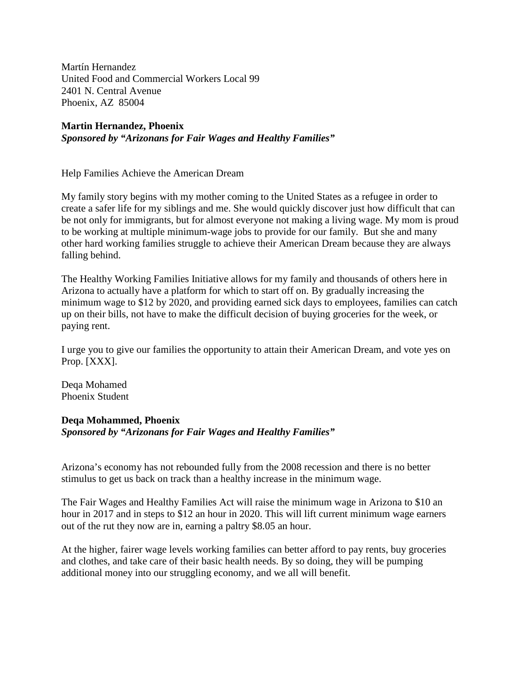Martín Hernandez United Food and Commercial Workers Local 99 2401 N. Central Avenue Phoenix, AZ 85004

#### **Martin Hernandez, Phoenix** *Sponsored by "Arizonans for Fair Wages and Healthy Families"*

Help Families Achieve the American Dream

My family story begins with my mother coming to the United States as a refugee in order to create a safer life for my siblings and me. She would quickly discover just how difficult that can be not only for immigrants, but for almost everyone not making a living wage. My mom is proud to be working at multiple minimum-wage jobs to provide for our family. But she and many other hard working families struggle to achieve their American Dream because they are always falling behind.

The Healthy Working Families Initiative allows for my family and thousands of others here in Arizona to actually have a platform for which to start off on. By gradually increasing the minimum wage to \$12 by 2020, and providing earned sick days to employees, families can catch up on their bills, not have to make the difficult decision of buying groceries for the week, or paying rent.

I urge you to give our families the opportunity to attain their American Dream, and vote yes on Prop. [XXX].

Deqa Mohamed Phoenix Student

### **Deqa Mohammed, Phoenix** *Sponsored by "Arizonans for Fair Wages and Healthy Families"*

Arizona's economy has not rebounded fully from the 2008 recession and there is no better stimulus to get us back on track than a healthy increase in the minimum wage.

The Fair Wages and Healthy Families Act will raise the minimum wage in Arizona to \$10 an hour in 2017 and in steps to \$12 an hour in 2020. This will lift current minimum wage earners out of the rut they now are in, earning a paltry \$8.05 an hour.

At the higher, fairer wage levels working families can better afford to pay rents, buy groceries and clothes, and take care of their basic health needs. By so doing, they will be pumping additional money into our struggling economy, and we all will benefit.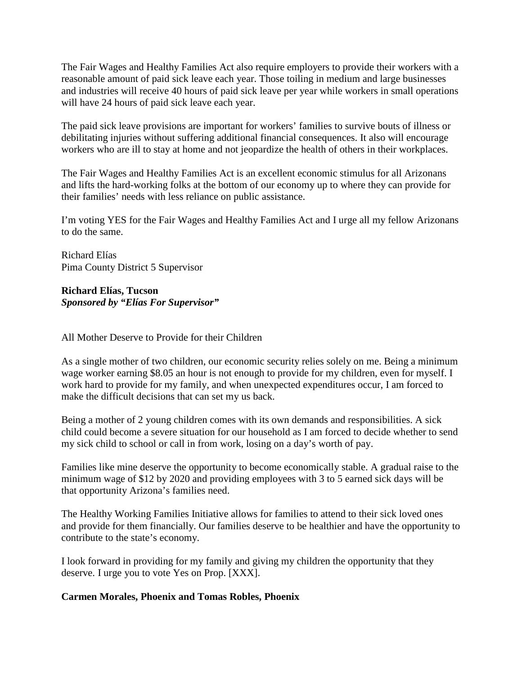The Fair Wages and Healthy Families Act also require employers to provide their workers with a reasonable amount of paid sick leave each year. Those toiling in medium and large businesses and industries will receive 40 hours of paid sick leave per year while workers in small operations will have 24 hours of paid sick leave each year.

The paid sick leave provisions are important for workers' families to survive bouts of illness or debilitating injuries without suffering additional financial consequences. It also will encourage workers who are ill to stay at home and not jeopardize the health of others in their workplaces.

The Fair Wages and Healthy Families Act is an excellent economic stimulus for all Arizonans and lifts the hard-working folks at the bottom of our economy up to where they can provide for their families' needs with less reliance on public assistance.

I'm voting YES for the Fair Wages and Healthy Families Act and I urge all my fellow Arizonans to do the same.

Richard Elías Pima County District 5 Supervisor

**Richard Elías, Tucson** *Sponsored by "Elías For Supervisor"*

All Mother Deserve to Provide for their Children

As a single mother of two children, our economic security relies solely on me. Being a minimum wage worker earning \$8.05 an hour is not enough to provide for my children, even for myself. I work hard to provide for my family, and when unexpected expenditures occur, I am forced to make the difficult decisions that can set my us back.

Being a mother of 2 young children comes with its own demands and responsibilities. A sick child could become a severe situation for our household as I am forced to decide whether to send my sick child to school or call in from work, losing on a day's worth of pay.

Families like mine deserve the opportunity to become economically stable. A gradual raise to the minimum wage of \$12 by 2020 and providing employees with 3 to 5 earned sick days will be that opportunity Arizona's families need.

The Healthy Working Families Initiative allows for families to attend to their sick loved ones and provide for them financially. Our families deserve to be healthier and have the opportunity to contribute to the state's economy.

I look forward in providing for my family and giving my children the opportunity that they deserve. I urge you to vote Yes on Prop. [XXX].

# **Carmen Morales, Phoenix and Tomas Robles, Phoenix**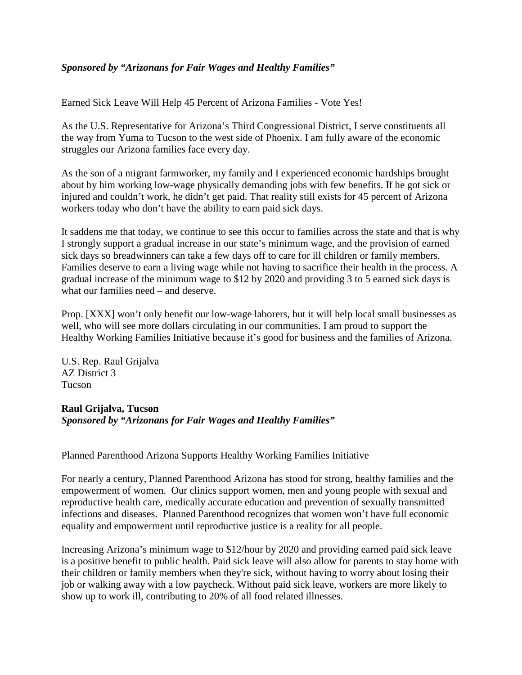# *Sponsored by "Arizonans for Fair Wages and Healthy Families"*

Earned Sick Leave Will Help 45 Percent of Arizona Families - Vote Yes!

As the U.S. Representative for Arizona's Third Congressional District, I serve constituents all the way from Yuma to Tucson to the west side of Phoenix. I am fully aware of the economic struggles our Arizona families face every day.

As the son of a migrant farmworker, my family and I experienced economic hardships brought about by him working low-wage physically demanding jobs with few benefits. If he got sick or injured and couldn't work, he didn't get paid. That reality still exists for 45 percent of Arizona workers today who don't have the ability to earn paid sick days.

It saddens me that today, we continue to see this occur to families across the state and that is why I strongly support a gradual increase in our state's minimum wage, and the provision of earned sick days so breadwinners can take a few days off to care for ill children or family members. Families deserve to earn a living wage while not having to sacrifice their health in the process. A gradual increase of the minimum wage to \$12 by 2020 and providing 3 to 5 earned sick days is what our families need – and deserve.

Prop. [XXX] won't only benefit our low-wage laborers, but it will help local small businesses as well, who will see more dollars circulating in our communities. I am proud to support the Healthy Working Families Initiative because it's good for business and the families of Arizona.

U.S. Rep. Raul Grijalva AZ District 3 Tucson

# **Raul Grijalva, Tucson** *Sponsored by "Arizonans for Fair Wages and Healthy Families"*

Planned Parenthood Arizona Supports Healthy Working Families Initiative

For nearly a century, Planned Parenthood Arizona has stood for strong, healthy families and the empowerment of women. Our clinics support women, men and young people with sexual and reproductive health care, medically accurate education and prevention of sexually transmitted infections and diseases. Planned Parenthood recognizes that women won't have full economic equality and empowerment until reproductive justice is a reality for all people.

Increasing Arizona's minimum wage to \$12/hour by 2020 and providing earned paid sick leave is a positive benefit to public health. Paid sick leave will also allow for parents to stay home with their children or family members when they're sick, without having to worry about losing their job or walking away with a low paycheck. Without paid sick leave, workers are more likely to show up to work ill, contributing to 20% of all food related illnesses.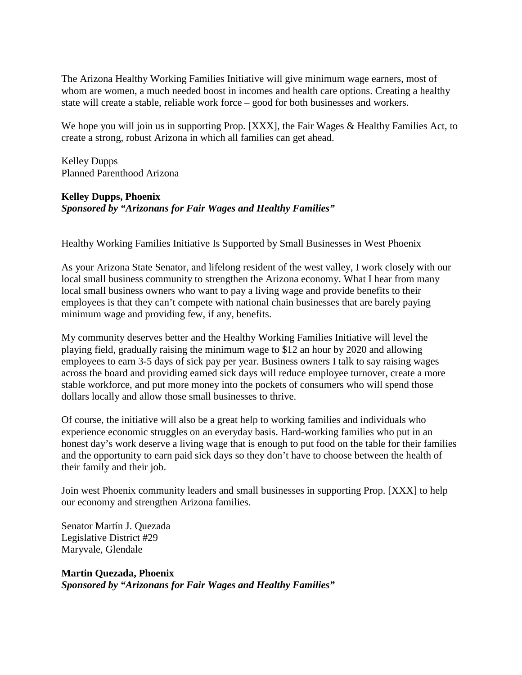The Arizona Healthy Working Families Initiative will give minimum wage earners, most of whom are women, a much needed boost in incomes and health care options. Creating a healthy state will create a stable, reliable work force – good for both businesses and workers.

We hope you will join us in supporting Prop. [XXX], the Fair Wages & Healthy Families Act, to create a strong, robust Arizona in which all families can get ahead.

Kelley Dupps Planned Parenthood Arizona

# **Kelley Dupps, Phoenix** *Sponsored by "Arizonans for Fair Wages and Healthy Families"*

Healthy Working Families Initiative Is Supported by Small Businesses in West Phoenix

As your Arizona State Senator, and lifelong resident of the west valley, I work closely with our local small business community to strengthen the Arizona economy. What I hear from many local small business owners who want to pay a living wage and provide benefits to their employees is that they can't compete with national chain businesses that are barely paying minimum wage and providing few, if any, benefits.

My community deserves better and the Healthy Working Families Initiative will level the playing field, gradually raising the minimum wage to \$12 an hour by 2020 and allowing employees to earn 3-5 days of sick pay per year. Business owners I talk to say raising wages across the board and providing earned sick days will reduce employee turnover, create a more stable workforce, and put more money into the pockets of consumers who will spend those dollars locally and allow those small businesses to thrive.

Of course, the initiative will also be a great help to working families and individuals who experience economic struggles on an everyday basis. Hard-working families who put in an honest day's work deserve a living wage that is enough to put food on the table for their families and the opportunity to earn paid sick days so they don't have to choose between the health of their family and their job.

Join west Phoenix community leaders and small businesses in supporting Prop. [XXX] to help our economy and strengthen Arizona families.

Senator Martín J. Quezada Legislative District #29 Maryvale, Glendale

**Martin Quezada, Phoenix** *Sponsored by "Arizonans for Fair Wages and Healthy Families"*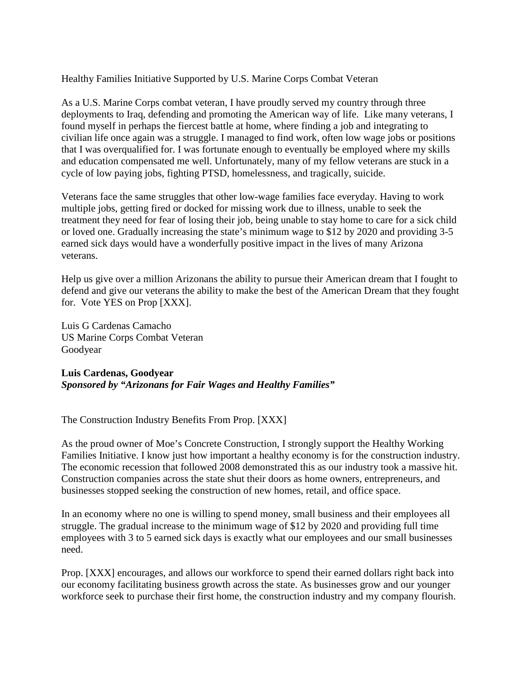Healthy Families Initiative Supported by U.S. Marine Corps Combat Veteran

As a U.S. Marine Corps combat veteran, I have proudly served my country through three deployments to Iraq, defending and promoting the American way of life. Like many veterans, I found myself in perhaps the fiercest battle at home, where finding a job and integrating to civilian life once again was a struggle. I managed to find work, often low wage jobs or positions that I was overqualified for. I was fortunate enough to eventually be employed where my skills and education compensated me well. Unfortunately, many of my fellow veterans are stuck in a cycle of low paying jobs, fighting PTSD, homelessness, and tragically, suicide.

Veterans face the same struggles that other low-wage families face everyday. Having to work multiple jobs, getting fired or docked for missing work due to illness, unable to seek the treatment they need for fear of losing their job, being unable to stay home to care for a sick child or loved one. Gradually increasing the state's minimum wage to \$12 by 2020 and providing 3-5 earned sick days would have a wonderfully positive impact in the lives of many Arizona veterans.

Help us give over a million Arizonans the ability to pursue their American dream that I fought to defend and give our veterans the ability to make the best of the American Dream that they fought for. Vote YES on Prop [XXX].

Luis G Cardenas Camacho US Marine Corps Combat Veteran Goodyear

**Luis Cardenas, Goodyear** *Sponsored by "Arizonans for Fair Wages and Healthy Families"*

The Construction Industry Benefits From Prop. [XXX]

As the proud owner of Moe's Concrete Construction, I strongly support the Healthy Working Families Initiative. I know just how important a healthy economy is for the construction industry. The economic recession that followed 2008 demonstrated this as our industry took a massive hit. Construction companies across the state shut their doors as home owners, entrepreneurs, and businesses stopped seeking the construction of new homes, retail, and office space.

In an economy where no one is willing to spend money, small business and their employees all struggle. The gradual increase to the minimum wage of \$12 by 2020 and providing full time employees with 3 to 5 earned sick days is exactly what our employees and our small businesses need.

Prop. [XXX] encourages, and allows our workforce to spend their earned dollars right back into our economy facilitating business growth across the state. As businesses grow and our younger workforce seek to purchase their first home, the construction industry and my company flourish.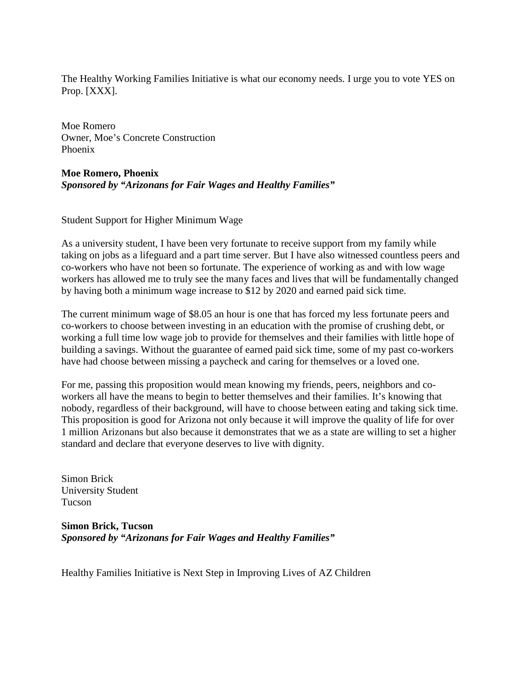The Healthy Working Families Initiative is what our economy needs. I urge you to vote YES on Prop. [XXX].

Moe Romero Owner, Moe's Concrete Construction Phoenix

### **Moe Romero, Phoenix** *Sponsored by "Arizonans for Fair Wages and Healthy Families"*

Student Support for Higher Minimum Wage

As a university student, I have been very fortunate to receive support from my family while taking on jobs as a lifeguard and a part time server. But I have also witnessed countless peers and co-workers who have not been so fortunate. The experience of working as and with low wage workers has allowed me to truly see the many faces and lives that will be fundamentally changed by having both a minimum wage increase to \$12 by 2020 and earned paid sick time.

The current minimum wage of \$8.05 an hour is one that has forced my less fortunate peers and co-workers to choose between investing in an education with the promise of crushing debt, or working a full time low wage job to provide for themselves and their families with little hope of building a savings. Without the guarantee of earned paid sick time, some of my past co-workers have had choose between missing a paycheck and caring for themselves or a loved one.

For me, passing this proposition would mean knowing my friends, peers, neighbors and coworkers all have the means to begin to better themselves and their families. It's knowing that nobody, regardless of their background, will have to choose between eating and taking sick time. This proposition is good for Arizona not only because it will improve the quality of life for over 1 million Arizonans but also because it demonstrates that we as a state are willing to set a higher standard and declare that everyone deserves to live with dignity.

Simon Brick University Student Tucson

**Simon Brick, Tucson** *Sponsored by "Arizonans for Fair Wages and Healthy Families"*

Healthy Families Initiative is Next Step in Improving Lives of AZ Children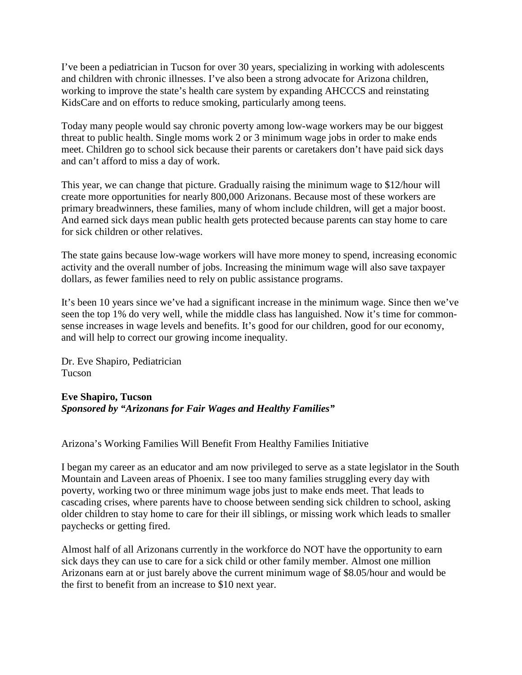I've been a pediatrician in Tucson for over 30 years, specializing in working with adolescents and children with chronic illnesses. I've also been a strong advocate for Arizona children, working to improve the state's health care system by expanding AHCCCS and reinstating KidsCare and on efforts to reduce smoking, particularly among teens.

Today many people would say chronic poverty among low-wage workers may be our biggest threat to public health. Single moms work 2 or 3 minimum wage jobs in order to make ends meet. Children go to school sick because their parents or caretakers don't have paid sick days and can't afford to miss a day of work.

This year, we can change that picture. Gradually raising the minimum wage to \$12/hour will create more opportunities for nearly 800,000 Arizonans. Because most of these workers are primary breadwinners, these families, many of whom include children, will get a major boost. And earned sick days mean public health gets protected because parents can stay home to care for sick children or other relatives.

The state gains because low-wage workers will have more money to spend, increasing economic activity and the overall number of jobs. Increasing the minimum wage will also save taxpayer dollars, as fewer families need to rely on public assistance programs.

It's been 10 years since we've had a significant increase in the minimum wage. Since then we've seen the top 1% do very well, while the middle class has languished. Now it's time for commonsense increases in wage levels and benefits. It's good for our children, good for our economy, and will help to correct our growing income inequality.

Dr. Eve Shapiro, Pediatrician Tucson

### **Eve Shapiro, Tucson** *Sponsored by "Arizonans for Fair Wages and Healthy Families"*

Arizona's Working Families Will Benefit From Healthy Families Initiative

I began my career as an educator and am now privileged to serve as a state legislator in the South Mountain and Laveen areas of Phoenix. I see too many families struggling every day with poverty, working two or three minimum wage jobs just to make ends meet. That leads to cascading crises, where parents have to choose between sending sick children to school, asking older children to stay home to care for their ill siblings, or missing work which leads to smaller paychecks or getting fired.

Almost half of all Arizonans currently in the workforce do NOT have the opportunity to earn sick days they can use to care for a sick child or other family member. Almost one million Arizonans earn at or just barely above the current minimum wage of \$8.05/hour and would be the first to benefit from an increase to \$10 next year.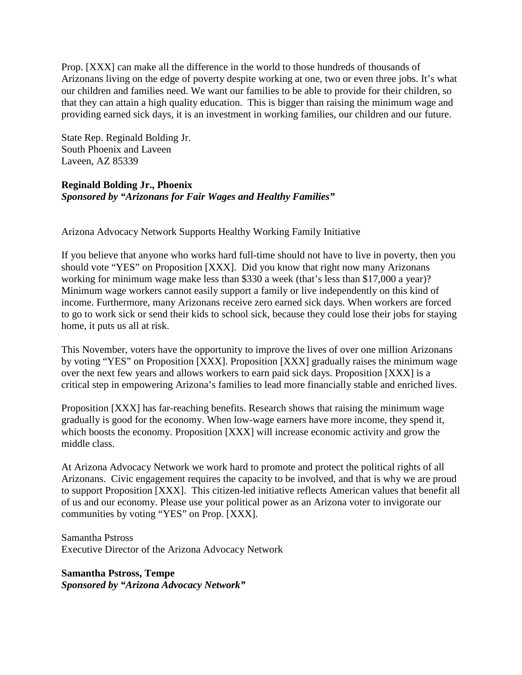Prop. [XXX] can make all the difference in the world to those hundreds of thousands of Arizonans living on the edge of poverty despite working at one, two or even three jobs. It's what our children and families need. We want our families to be able to provide for their children, so that they can attain a high quality education. This is bigger than raising the minimum wage and providing earned sick days, it is an investment in working families, our children and our future.

State Rep. Reginald Bolding Jr. South Phoenix and Laveen Laveen, AZ 85339

# **Reginald Bolding Jr., Phoenix** *Sponsored by "Arizonans for Fair Wages and Healthy Families"*

Arizona Advocacy Network Supports Healthy Working Family Initiative

If you believe that anyone who works hard full-time should not have to live in poverty, then you should vote "YES" on Proposition [XXX]. Did you know that right now many Arizonans working for minimum wage make less than \$330 a week (that's less than \$17,000 a year)? Minimum wage workers cannot easily support a family or live independently on this kind of income. Furthermore, many Arizonans receive zero earned sick days. When workers are forced to go to work sick or send their kids to school sick, because they could lose their jobs for staying home, it puts us all at risk.

This November, voters have the opportunity to improve the lives of over one million Arizonans by voting "YES" on Proposition [XXX]. Proposition [XXX] gradually raises the minimum wage over the next few years and allows workers to earn paid sick days. Proposition [XXX] is a critical step in empowering Arizona's families to lead more financially stable and enriched lives.

Proposition [XXX] has far-reaching benefits. Research shows that raising the minimum wage gradually is good for the economy. When low-wage earners have more income, they spend it, which boosts the economy. Proposition [XXX] will increase economic activity and grow the middle class.

At Arizona Advocacy Network we work hard to promote and protect the political rights of all Arizonans. Civic engagement requires the capacity to be involved, and that is why we are proud to support Proposition [XXX]. This citizen-led initiative reflects American values that benefit all of us and our economy. Please use your political power as an Arizona voter to invigorate our communities by voting "YES" on Prop. [XXX].

Samantha Pstross Executive Director of the Arizona Advocacy Network

**Samantha Pstross, Tempe** *Sponsored by "Arizona Advocacy Network"*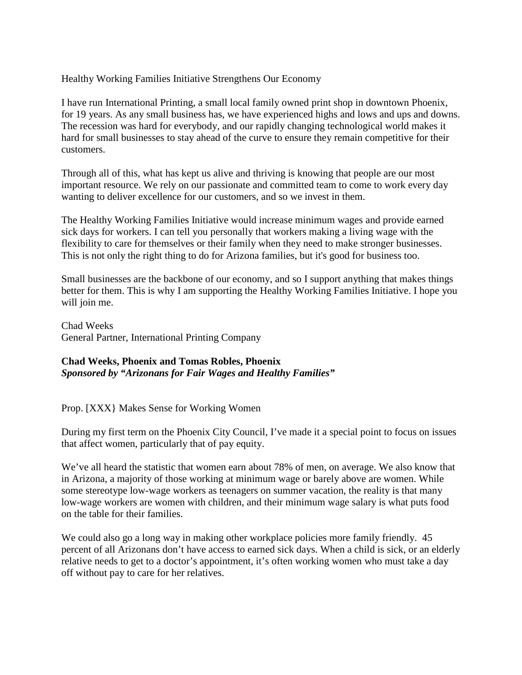Healthy Working Families Initiative Strengthens Our Economy

I have run International Printing, a small local family owned print shop in downtown Phoenix, for 19 years. As any small business has, we have experienced highs and lows and ups and downs. The recession was hard for everybody, and our rapidly changing technological world makes it hard for small businesses to stay ahead of the curve to ensure they remain competitive for their customers.

Through all of this, what has kept us alive and thriving is knowing that people are our most important resource. We rely on our passionate and committed team to come to work every day wanting to deliver excellence for our customers, and so we invest in them.

The Healthy Working Families Initiative would increase minimum wages and provide earned sick days for workers. I can tell you personally that workers making a living wage with the flexibility to care for themselves or their family when they need to make stronger businesses. This is not only the right thing to do for Arizona families, but it's good for business too.

Small businesses are the backbone of our economy, and so I support anything that makes things better for them. This is why I am supporting the Healthy Working Families Initiative. I hope you will join me.

Chad Weeks General Partner, International Printing Company

# **Chad Weeks, Phoenix and Tomas Robles, Phoenix** *Sponsored by "Arizonans for Fair Wages and Healthy Families"*

Prop. [XXX} Makes Sense for Working Women

During my first term on the Phoenix City Council, I've made it a special point to focus on issues that affect women, particularly that of pay equity.

We've all heard the statistic that women earn about 78% of men, on average. We also know that in Arizona, a majority of those working at minimum wage or barely above are women. While some stereotype low-wage workers as teenagers on summer vacation, the reality is that many low-wage workers are women with children, and their minimum wage salary is what puts food on the table for their families.

We could also go a long way in making other workplace policies more family friendly. 45 percent of all Arizonans don't have access to earned sick days. When a child is sick, or an elderly relative needs to get to a doctor's appointment, it's often working women who must take a day off without pay to care for her relatives.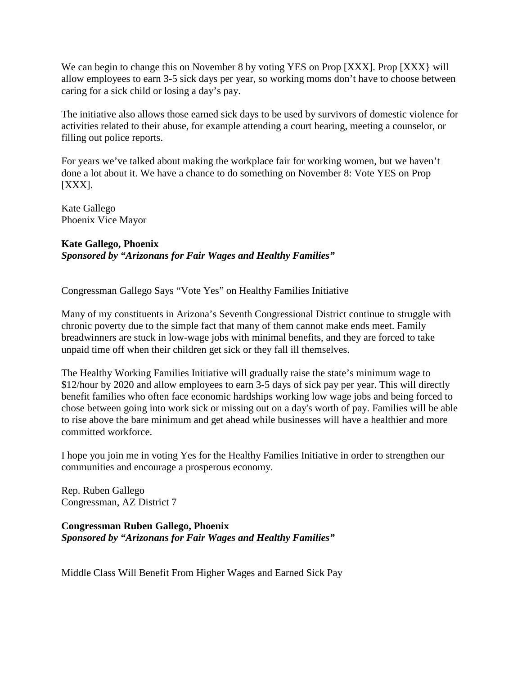We can begin to change this on November 8 by voting YES on Prop [XXX]. Prop [XXX] will allow employees to earn 3-5 sick days per year, so working moms don't have to choose between caring for a sick child or losing a day's pay.

The initiative also allows those earned sick days to be used by survivors of domestic violence for activities related to their abuse, for example attending a court hearing, meeting a counselor, or filling out police reports.

For years we've talked about making the workplace fair for working women, but we haven't done a lot about it. We have a chance to do something on November 8: Vote YES on Prop  $[XXX].$ 

Kate Gallego Phoenix Vice Mayor

### **Kate Gallego, Phoenix** *Sponsored by "Arizonans for Fair Wages and Healthy Families"*

Congressman Gallego Says "Vote Yes" on Healthy Families Initiative

Many of my constituents in Arizona's Seventh Congressional District continue to struggle with chronic poverty due to the simple fact that many of them cannot make ends meet. Family breadwinners are stuck in low-wage jobs with minimal benefits, and they are forced to take unpaid time off when their children get sick or they fall ill themselves.

The Healthy Working Families Initiative will gradually raise the state's minimum wage to \$12/hour by 2020 and allow employees to earn 3-5 days of sick pay per year. This will directly benefit families who often face economic hardships working low wage jobs and being forced to chose between going into work sick or missing out on a day's worth of pay. Families will be able to rise above the bare minimum and get ahead while businesses will have a healthier and more committed workforce.

I hope you join me in voting Yes for the Healthy Families Initiative in order to strengthen our communities and encourage a prosperous economy.

Rep. Ruben Gallego Congressman, AZ District 7

**Congressman Ruben Gallego, Phoenix** *Sponsored by "Arizonans for Fair Wages and Healthy Families"*

Middle Class Will Benefit From Higher Wages and Earned Sick Pay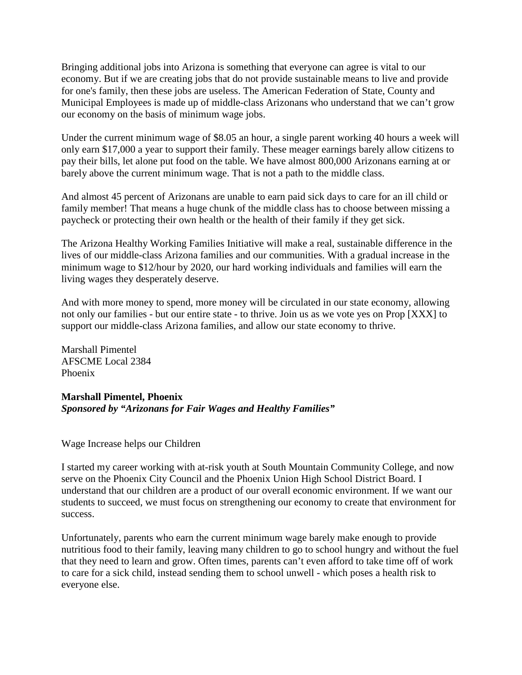Bringing additional jobs into Arizona is something that everyone can agree is vital to our economy. But if we are creating jobs that do not provide sustainable means to live and provide for one's family, then these jobs are useless. The American Federation of State, County and Municipal Employees is made up of middle-class Arizonans who understand that we can't grow our economy on the basis of minimum wage jobs.

Under the current minimum wage of \$8.05 an hour, a single parent working 40 hours a week will only earn \$17,000 a year to support their family. These meager earnings barely allow citizens to pay their bills, let alone put food on the table. We have almost 800,000 Arizonans earning at or barely above the current minimum wage. That is not a path to the middle class.

And almost 45 percent of Arizonans are unable to earn paid sick days to care for an ill child or family member! That means a huge chunk of the middle class has to choose between missing a paycheck or protecting their own health or the health of their family if they get sick.

The Arizona Healthy Working Families Initiative will make a real, sustainable difference in the lives of our middle-class Arizona families and our communities. With a gradual increase in the minimum wage to \$12/hour by 2020, our hard working individuals and families will earn the living wages they desperately deserve.

And with more money to spend, more money will be circulated in our state economy, allowing not only our families - but our entire state - to thrive. Join us as we vote yes on Prop [XXX] to support our middle-class Arizona families, and allow our state economy to thrive.

Marshall Pimentel AFSCME Local 2384 Phoenix

# **Marshall Pimentel, Phoenix** *Sponsored by "Arizonans for Fair Wages and Healthy Families"*

Wage Increase helps our Children

I started my career working with at-risk youth at South Mountain Community College, and now serve on the Phoenix City Council and the Phoenix Union High School District Board. I understand that our children are a product of our overall economic environment. If we want our students to succeed, we must focus on strengthening our economy to create that environment for success.

Unfortunately, parents who earn the current minimum wage barely make enough to provide nutritious food to their family, leaving many children to go to school hungry and without the fuel that they need to learn and grow. Often times, parents can't even afford to take time off of work to care for a sick child, instead sending them to school unwell - which poses a health risk to everyone else.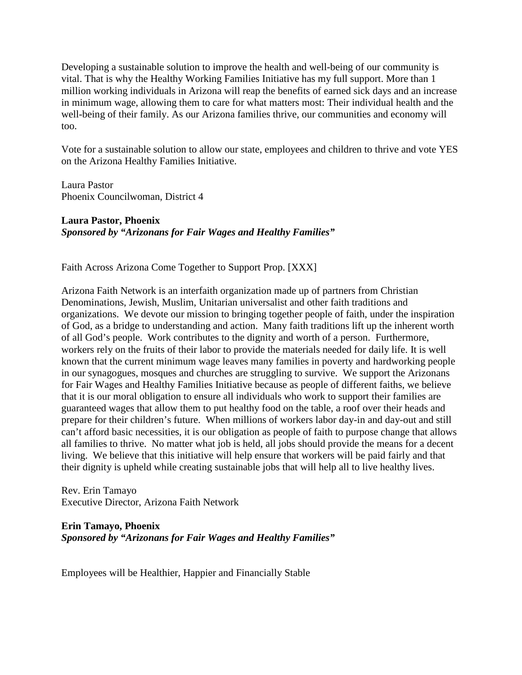Developing a sustainable solution to improve the health and well-being of our community is vital. That is why the Healthy Working Families Initiative has my full support. More than 1 million working individuals in Arizona will reap the benefits of earned sick days and an increase in minimum wage, allowing them to care for what matters most: Their individual health and the well-being of their family. As our Arizona families thrive, our communities and economy will too.

Vote for a sustainable solution to allow our state, employees and children to thrive and vote YES on the Arizona Healthy Families Initiative.

Laura Pastor Phoenix Councilwoman, District 4

**Laura Pastor, Phoenix** *Sponsored by "Arizonans for Fair Wages and Healthy Families"*

Faith Across Arizona Come Together to Support Prop. [XXX]

Arizona Faith Network is an interfaith organization made up of partners from Christian Denominations, Jewish, Muslim, Unitarian universalist and other faith traditions and organizations. We devote our mission to bringing together people of faith, under the inspiration of God, as a bridge to understanding and action. Many faith traditions lift up the inherent worth of all God's people. Work contributes to the dignity and worth of a person. Furthermore, workers rely on the fruits of their labor to provide the materials needed for daily life. It is well known that the current minimum wage leaves many families in poverty and hardworking people in our synagogues, mosques and churches are struggling to survive. We support the Arizonans for Fair Wages and Healthy Families Initiative because as people of different faiths, we believe that it is our moral obligation to ensure all individuals who work to support their families are guaranteed wages that allow them to put healthy food on the table, a roof over their heads and prepare for their children's future. When millions of workers labor day-in and day-out and still can't afford basic necessities, it is our obligation as people of faith to purpose change that allows all families to thrive. No matter what job is held, all jobs should provide the means for a decent living. We believe that this initiative will help ensure that workers will be paid fairly and that their dignity is upheld while creating sustainable jobs that will help all to live healthy lives.

Rev. Erin Tamayo Executive Director, Arizona Faith Network

**Erin Tamayo, Phoenix** *Sponsored by "Arizonans for Fair Wages and Healthy Families"*

Employees will be Healthier, Happier and Financially Stable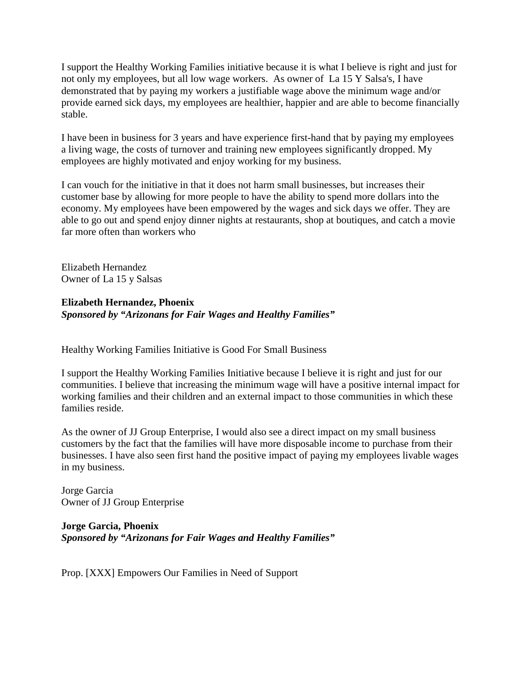I support the Healthy Working Families initiative because it is what I believe is right and just for not only my employees, but all low wage workers. As owner of La 15 Y Salsa's, I have demonstrated that by paying my workers a justifiable wage above the minimum wage and/or provide earned sick days, my employees are healthier, happier and are able to become financially stable.

I have been in business for 3 years and have experience first-hand that by paying my employees a living wage, the costs of turnover and training new employees significantly dropped. My employees are highly motivated and enjoy working for my business.

I can vouch for the initiative in that it does not harm small businesses, but increases their customer base by allowing for more people to have the ability to spend more dollars into the economy. My employees have been empowered by the wages and sick days we offer. They are able to go out and spend enjoy dinner nights at restaurants, shop at boutiques, and catch a movie far more often than workers who

Elizabeth Hernandez Owner of La 15 y Salsas

# **Elizabeth Hernandez, Phoenix** *Sponsored by "Arizonans for Fair Wages and Healthy Families"*

Healthy Working Families Initiative is Good For Small Business

I support the Healthy Working Families Initiative because I believe it is right and just for our communities. I believe that increasing the minimum wage will have a positive internal impact for working families and their children and an external impact to those communities in which these families reside.

As the owner of JJ Group Enterprise, I would also see a direct impact on my small business customers by the fact that the families will have more disposable income to purchase from their businesses. I have also seen first hand the positive impact of paying my employees livable wages in my business.

Jorge Garcia Owner of JJ Group Enterprise

# **Jorge Garcia, Phoenix** *Sponsored by "Arizonans for Fair Wages and Healthy Families"*

Prop. [XXX] Empowers Our Families in Need of Support